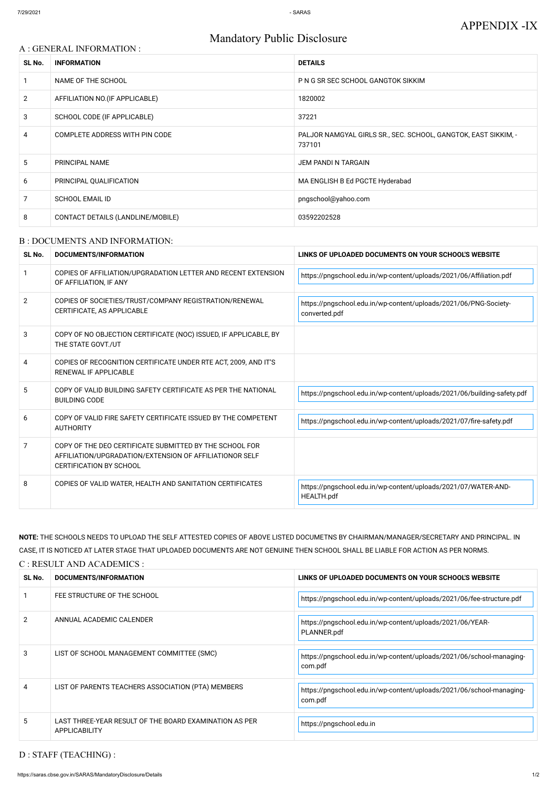# Mandatory Public Disclosure

| A : GENERAL INFORMATION : |                                   |                                                                          |  |  |
|---------------------------|-----------------------------------|--------------------------------------------------------------------------|--|--|
| SL No.                    | <b>INFORMATION</b>                | <b>DETAILS</b>                                                           |  |  |
|                           | NAME OF THE SCHOOL                | P N G SR SEC SCHOOL GANGTOK SIKKIM                                       |  |  |
| $\overline{2}$            | AFFILIATION NO. (IF APPLICABLE)   | 1820002                                                                  |  |  |
| 3                         | SCHOOL CODE (IF APPLICABLE)       | 37221                                                                    |  |  |
| 4                         | COMPLETE ADDRESS WITH PIN CODE    | PALJOR NAMGYAL GIRLS SR., SEC. SCHOOL, GANGTOK, EAST SIKKIM, -<br>737101 |  |  |
| 5                         | PRINCIPAL NAME                    | <b>JEM PANDI N TARGAIN</b>                                               |  |  |
| 6                         | PRINCIPAL QUALIFICATION           | MA ENGLISH B Ed PGCTE Hyderabad                                          |  |  |
| $\overline{7}$            | <b>SCHOOL EMAIL ID</b>            | pngschool@yahoo.com                                                      |  |  |
| 8                         | CONTACT DETAILS (LANDLINE/MOBILE) | 03592202528                                                              |  |  |

#### B : DOCUMENTS AND INFORMATION:

| SL No.         | <b>DOCUMENTS/INFORMATION</b>                                                                                                                         | LINKS OF UPLOADED DOCUMENTS ON YOUR SCHOOL'S WEBSITE                                |  |
|----------------|------------------------------------------------------------------------------------------------------------------------------------------------------|-------------------------------------------------------------------------------------|--|
| -1             | COPIES OF AFFILIATION/UPGRADATION LETTER AND RECENT EXTENSION<br>OF AFFILIATION, IF ANY                                                              | https://pngschool.edu.in/wp-content/uploads/2021/06/Affiliation.pdf                 |  |
| $\overline{2}$ | COPIES OF SOCIETIES/TRUST/COMPANY REGISTRATION/RENEWAL<br>CERTIFICATE, AS APPLICABLE                                                                 | https://pngschool.edu.in/wp-content/uploads/2021/06/PNG-Society-<br>converted.pdf   |  |
| 3              | COPY OF NO OBJECTION CERTIFICATE (NOC) ISSUED, IF APPLICABLE, BY<br>THE STATE GOVT./UT                                                               |                                                                                     |  |
| 4              | COPIES OF RECOGNITION CERTIFICATE UNDER RTE ACT, 2009, AND IT'S<br>RENEWAL IF APPLICABLE                                                             |                                                                                     |  |
| 5.             | COPY OF VALID BUILDING SAFETY CERTIFICATE AS PER THE NATIONAL<br><b>BUILDING CODE</b>                                                                | https://pngschool.edu.in/wp-content/uploads/2021/06/building-safety.pdf             |  |
| 6              | COPY OF VALID FIRE SAFETY CERTIFICATE ISSUED BY THE COMPETENT<br><b>AUTHORITY</b>                                                                    | https://pngschool.edu.in/wp-content/uploads/2021/07/fire-safety.pdf                 |  |
| $\overline{7}$ | COPY OF THE DEO CERTIFICATE SUBMITTED BY THE SCHOOL FOR<br>AFFILIATION/UPGRADATION/EXTENSION OF AFFILIATIONOR SELF<br><b>CERTIFICATION BY SCHOOL</b> |                                                                                     |  |
| 8              | COPIES OF VALID WATER, HEALTH AND SANITATION CERTIFICATES                                                                                            | https://pngschool.edu.in/wp-content/uploads/2021/07/WATER-AND-<br><b>HEALTH.pdf</b> |  |

|    | FEE STRUCTURE OF THE SCHOOL                                                    | https://pngschool.edu.in/wp-content/uploads/2021/06/fee-structure.pdf           |
|----|--------------------------------------------------------------------------------|---------------------------------------------------------------------------------|
| 2  | ANNUAL ACADEMIC CALENDER                                                       | https://pngschool.edu.in/wp-content/uploads/2021/06/YEAR-<br>PLANNER.pdf        |
| 3  | LIST OF SCHOOL MANAGEMENT COMMITTEE (SMC)                                      | https://pngschool.edu.in/wp-content/uploads/2021/06/school-managing-<br>com.pdf |
| 4  | LIST OF PARENTS TEACHERS ASSOCIATION (PTA) MEMBERS                             | https://pngschool.edu.in/wp-content/uploads/2021/06/school-managing-<br>com.pdf |
| 5. | LAST THREE-YEAR RESULT OF THE BOARD EXAMINATION AS PER<br><b>APPLICABILITY</b> | https://pngschool.edu.in                                                        |

**NOTE:** THE SCHOOLS NEEDS TO UPLOAD THE SELF ATTESTED COPIES OF ABOVE LISTED DOCUMETNS BY CHAIRMAN/MANAGER/SECRETARY AND PRINCIPAL. IN CASE, IT IS NOTICED AT LATER STAGE THAT UPLOADED DOCUMENTS ARE NOT GENUINE THEN SCHOOL SHALL BE LIABLE FOR ACTION AS PER NORMS.

#### C : RESULT AND ACADEMICS :

| SL No. | DOCUMENTS/INFORMATION         | LINKS OF UPLOADED DOCUMENTS ON YOUR SCH<br><b>NEBSITL</b> |
|--------|-------------------------------|-----------------------------------------------------------|
|        |                               |                                                           |
|        | FEE CIBLICILIDE OF THE COHOOL |                                                           |

D : STAFF (TEACHING) :